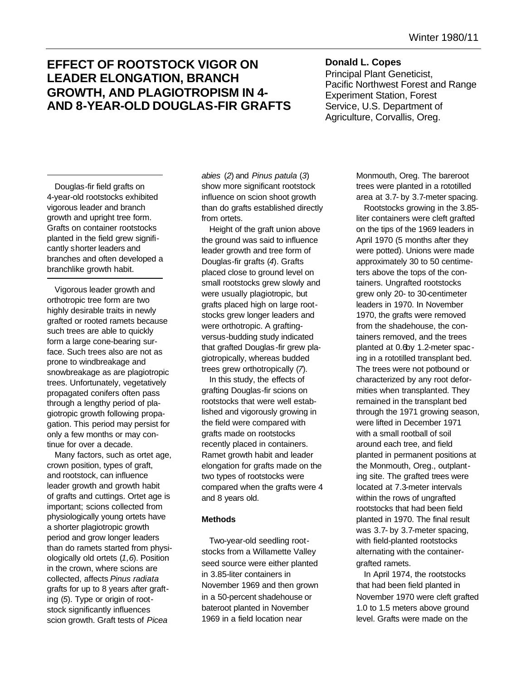# **EFFECT OF ROOTSTOCK VIGOR ON LEADER ELONGATION, BRANCH GROWTH, AND PLAGIOTROPISM IN 4- AND 8-YEAR-OLD DOUGLAS-FIR GRAFTS**

## **Donald L. Copes**

Principal Plant Geneticist, Pacific Northwest Forest and Range Experiment Station, Forest Service, U.S. Department of Agriculture, Corvallis, Oreg.

Douglas-fir field grafts on 4-year-old rootstocks exhibited vigorous leader and branch growth and upright tree form. Grafts on container rootstocks planted in the field grew significantly shorter leaders and branches and often developed a branchlike growth habit.

Vigorous leader growth and orthotropic tree form are two highly desirable traits in newly grafted or rooted ramets because such trees are able to quickly form a large cone-bearing surface. Such trees also are not as prone to windbreakage and snowbreakage as are plagiotropic trees. Unfortunately, vegetatively propagated conifers often pass through a lengthy period of plagiotropic growth following propagation. This period may persist for only a few months or may continue for over a decade.

Many factors, such as ortet age, crown position, types of graft, and rootstock, can influence leader growth and growth habit of grafts and cuttings. Ortet age is important; scions collected from physiologically young ortets have a shorter plagiotropic growth period and grow longer leaders than do ramets started from physiologically old ortets (*1,6*). Position in the crown, where scions are collected, affects *Pinus radiata* grafts for up to 8 years after grafting (*5*). Type or origin of rootstock significantly influences scion growth. Graft tests of *Picea*

*abies* (*2*) and *Pinus patula* (*3*) show more significant rootstock influence on scion shoot growth than do grafts established directly from ortets.

Height of the graft union above the ground was said to influence leader growth and tree form of Douglas-fir grafts (*4*). Grafts placed close to ground level on small rootstocks grew slowly and were usually plagiotropic, but grafts placed high on large rootstocks grew longer leaders and were orthotropic. A graftingversus-budding study indicated that grafted Douglas -fir grew plagiotropically, whereas budded trees grew orthotropically (*7*).

In this study, the effects of grafting Douglas-fir scions on rootstocks that were well established and vigorously growing in the field were compared with grafts made on rootstocks recently placed in containers. Ramet growth habit and leader elongation for grafts made on the two types of rootstocks were compared when the grafts were 4 and 8 years old.

## **Methods**

Two-year-old seedling rootstocks from a Willamette Valley seed source were either planted in 3.85-liter containers in November 1969 and then grown in a 50-percent shadehouse or bateroot planted in November 1969 in a field location near

Monmouth, Oreg. The bareroot trees were planted in a rototilled area at 3.7- by 3.7-meter spacing.

Rootstocks growing in the 3.85 liter containers were cleft grafted on the tips of the 1969 leaders in April 1970 (5 months after they were potted). Unions were made approximately 30 to 50 centimeters above the tops of the containers. Ungrafted rootstocks grew only 20- to 30-centimeter leaders in 1970. In November 1970, the grafts were removed from the shadehouse, the containers removed, and the trees planted at 0.6by 1.2-meter spacing in a rototilled transplant bed. The trees were not potbound or characterized by any root deformities when transplanted. They remained in the transplant bed through the 1971 growing season, were lifted in December 1971 with a small rootball of soil around each tree, and field planted in permanent positions at the Monmouth, Oreg., outplanting site. The grafted trees were located at 7.3-meter intervals within the rows of ungrafted rootstocks that had been field planted in 1970. The final result was 3.7- by 3.7-meter spacing, with field-planted rootstocks alternating with the containergrafted ramets.

In April 1974, the rootstocks that had been field planted in November 1970 were cleft grafted 1.0 to 1.5 meters above ground level. Grafts were made on the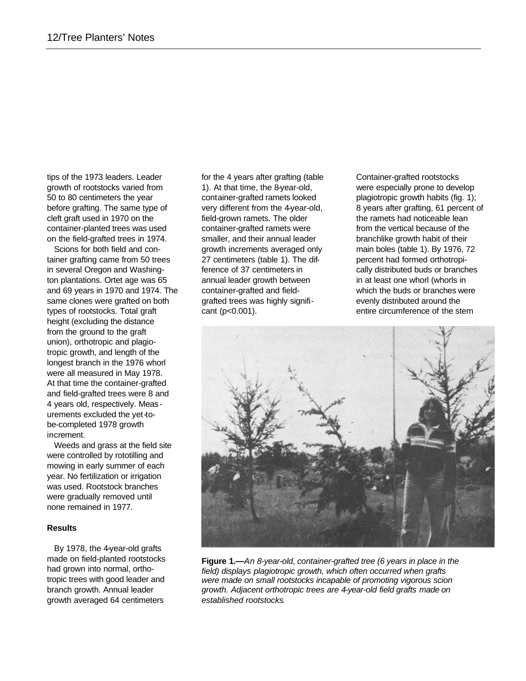tips of the 1973 leaders. Leader growth of rootstocks varied from 50 to 80 centimeters the year before grafting. The same type of cleft graft used in 1970 on the container-planted trees was used on the field-grafted trees in 1974.

Scions for both field and container grafting came from 50 trees in several Oregon and Washington plantations. Ortet age was 65 and 69 years in 1970 and 1974. The same clones were grafted on both types of rootstocks. Total graft height (excluding the distance from the ground to the graft union), orthotropic and plagiotropic growth, and length of the longest branch in the 1976 whorl were all measured in May 1978. At that time the container-grafted and field-grafted trees were 8 and 4 years old, respectively. Meas urements excluded the yet-tobe-completed 1978 growth increment.

Weeds and grass at the field site were controlled by rototilling and mowing in early summer of each year. No fertilization or irrigation was used. Rootstock branches were gradually removed until none remained in 1977.

## **Results**

By 1978, the 4-year-old grafts made on field-planted rootstocks had grown into normal, orthotropic trees with good leader and branch growth. Annual leader growth averaged 64 centimeters

for the 4 years after grafting (table 1). At that time, the 8-year-old, container-grafted ramets looked very different from the 4-year-old, field-grown ramets. The older container-grafted ramets were smaller, and their annual leader growth increments averaged only 27 centimeters (table 1). The difference of 37 centimeters in annual leader growth between container-grafted and fieldgrafted trees was highly significant (p<0.001).

Container-grafted rootstocks were especially prone to develop plagiotropic growth habits (fig. 1); 8 years after grafting, 61 percent of the ramets had noticeable lean from the vertical because of the branchlike growth habit of their main boles (table 1). By 1976, 72 percent had formed orthotropically distributed buds or branches in at least one whorl (whorls in which the buds or branches were evenly distributed around the entire circumference of the stem



**Figure 1.—***An 8-year-old, container-grafted tree (6 years in place in the field) displays plagiotropic growth, which often occurred when grafts were made on small rootstocks incapable of promoting vigorous scion growth. Adjacent orthotropic trees are 4-year-old field grafts made on established rootstocks.*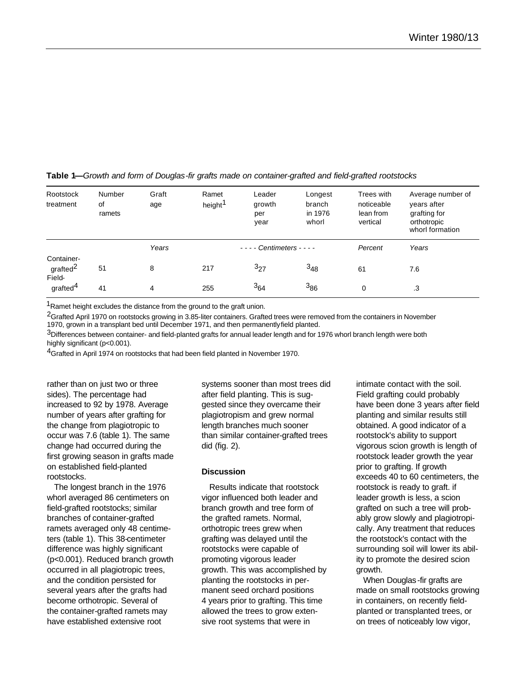| Rootstock<br>treatment                       | Number<br>of<br>ramets | Graft<br>age | Ramet<br>height <sup>1</sup> | Leader<br>growth<br>per<br>year | Longest<br>branch<br>in 1976<br>whorl | Trees with<br>noticeable<br>lean from<br>vertical | Average number of<br>years after<br>grafting for<br>orthotropic<br>whorl formation |
|----------------------------------------------|------------------------|--------------|------------------------------|---------------------------------|---------------------------------------|---------------------------------------------------|------------------------------------------------------------------------------------|
|                                              |                        | Years        |                              | Centimeters - - - -             |                                       | Percent                                           | Years                                                                              |
| Container-<br>grafted <sup>2</sup><br>Field- | 51                     | 8            | 217                          | $3_{27}$                        | $3_{48}$                              | 61                                                | 7.6                                                                                |
| grafted <sup>4</sup>                         | 41                     | 4            | 255                          | $3_{64}$                        | 386                                   | $\mathbf 0$                                       | .3                                                                                 |

#### **Table 1—***Growth and form of Douglas-fir grafts made on container-grafted and field-grafted rootstocks*

<sup>1</sup>Ramet height excludes the distance from the ground to the graft union.

<sup>2</sup>Grafted April 1970 on rootstocks growing in 3.85-liter containers. Grafted trees were removed from the containers in November 1970, grown in a transplant bed until December 1971, and then permanently field planted.

 $3$ Differences between container- and field-planted grafts for annual leader length and for 1976 whorl branch length were both highly significant (p<0.001).

<sup>4</sup>Grafted in April 1974 on rootstocks that had been field planted in November 1970.

rather than on just two or three sides). The percentage had increased to 92 by 1978. Average number of years after grafting for the change from plagiotropic to occur was 7.6 (table 1). The same change had occurred during the first growing season in grafts made on established field-planted rootstocks.

The longest branch in the 1976 whorl averaged 86 centimeters on field-grafted rootstocks; similar branches of container-grafted ramets averaged only 48 centimeters (table 1). This 38-centimeter difference was highly significant (p<0.001). Reduced branch growth occurred in all plagiotropic trees, and the condition persisted for several years after the grafts had become orthotropic. Several of the container-grafted ramets may have established extensive root

systems sooner than most trees did after field planting. This is suggested since they overcame their plagiotropism and grew normal length branches much sooner than similar container-grafted trees did (fig. 2).

#### **Discussion**

Results indicate that rootstock vigor influenced both leader and branch growth and tree form of the grafted ramets. Normal, orthotropic trees grew when grafting was delayed until the rootstocks were capable of promoting vigorous leader growth. This was accomplished by planting the rootstocks in permanent seed orchard positions 4 years prior to grafting. This time allowed the trees to grow extensive root systems that were in

intimate contact with the soil. Field grafting could probably have been done 3 years after field planting and similar results still obtained. A good indicator of a rootstock's ability to support vigorous scion growth is length of rootstock leader growth the year prior to grafting. If growth exceeds 40 to 60 centimeters, the rootstock is ready to graft. if leader growth is less, a scion grafted on such a tree will probably grow slowly and plagiotropically. Any treatment that reduces the rootstock's contact with the surrounding soil will lower its ability to promote the desired scion growth.

When Douglas -fir grafts are made on small rootstocks growing in containers, on recently fieldplanted or transplanted trees, or on trees of noticeably low vigor,